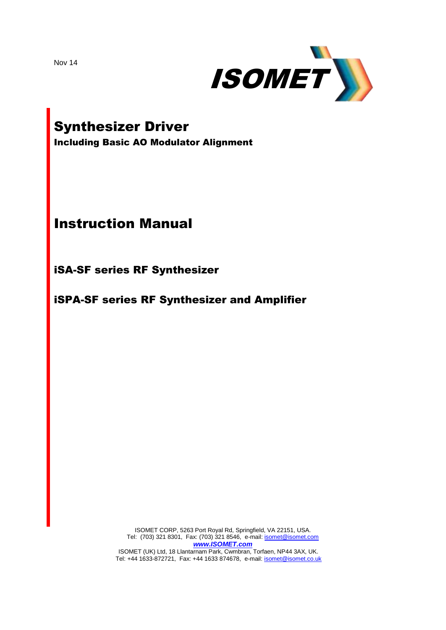Nov 14



# Synthesizer Driver

Including Basic AO Modulator Alignment

## Instruction Manual

iSA-SF series RF Synthesizer

iSPA-SF series RF Synthesizer and Amplifier

ISOMET CORP, 5263 Port Royal Rd, Springfield, VA 22151, USA. Tel: (703) 321 8301, Fax: (703) 321 8546, e-mail[: isomet@isomet.com](mailto:isomet@isomet.com) *[www.ISOMET.com](http://www.isomet.com/)*

ISOMET (UK) Ltd, 18 Llantarnam Park, Cwmbran, Torfaen, NP44 3AX, UK. Tel: +44 1633-872721, Fax: +44 1633 874678, e-mail: *isomet@isomet.co.uk*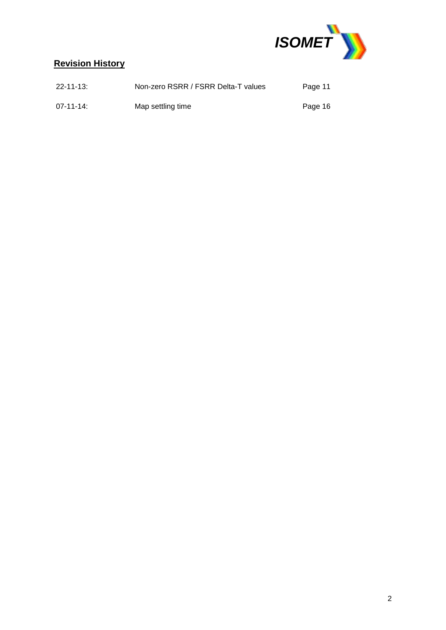

## **Revision History**

| $22 - 11 - 13$ : | Non-zero RSRR / FSRR Delta-T values | Page 11 |
|------------------|-------------------------------------|---------|
| $07 - 11 - 14$ : | Map settling time                   | Page 16 |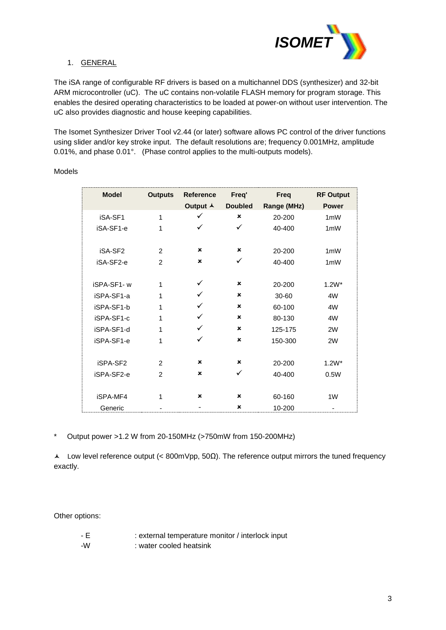

## 1. GENERAL

The iSA range of configurable RF drivers is based on a multichannel DDS (synthesizer) and 32-bit ARM microcontroller (uC). The uC contains non-volatile FLASH memory for program storage. This enables the desired operating characteristics to be loaded at power-on without user intervention. The uC also provides diagnostic and house keeping capabilities.

The Isomet Synthesizer Driver Tool v2.44 (or later) software allows PC control of the driver functions using slider and/or key stroke input. The default resolutions are; frequency 0.001MHz, amplitude 0.01%, and phase 0.01°. (Phase control applies to the multi-outputs models).

| <b>Model</b> | <b>Outputs</b> | <b>Reference</b><br>Output A | Freq'<br><b>Doubled</b> | <b>Freq</b><br>Range (MHz) | <b>RF Output</b><br><b>Power</b> |
|--------------|----------------|------------------------------|-------------------------|----------------------------|----------------------------------|
| iSA-SF1      | 1              | ✓                            | ×                       | 20-200                     | 1 <sub>m</sub> W                 |
| iSA-SF1-e    | 1              | ✓                            | ✓                       | 40-400                     | 1 <sub>m</sub> W                 |
| iSA-SF2      | $\mathfrak{p}$ | ×                            | ×                       | 20-200                     | 1 <sub>m</sub> W                 |
| iSA-SF2-e    | $\mathcal{P}$  | ×                            | ✓                       | 40-400                     | 1 <sub>m</sub> W                 |
| iSPA-SF1-w   | 1              |                              | ×                       | 20-200                     | $1.2W^*$                         |
| iSPA-SF1-a   | 1              |                              | ×                       | 30-60                      | 4W                               |
| iSPA-SF1-b   | 1              | ✓                            | ×                       | 60-100                     | 4W                               |
| iSPA-SF1-c   | 1              |                              | ×                       | 80-130                     | 4W                               |
| iSPA-SF1-d   | 1              |                              | ×                       | 125-175                    | 2W                               |
| iSPA-SF1-e   | 1              | ✓                            | ×                       | 150-300                    | 2W                               |
| iSPA-SF2     | 2              | ×                            | ×                       | 20-200                     | $1.2W^*$                         |
| iSPA-SF2-e   | 2              | ×                            | ✓                       | 40-400                     | 0.5W                             |
|              |                | ×                            | ×                       |                            | 1W                               |
| iSPA-MF4     | 1              |                              |                         | 60-160                     |                                  |
| Generic      |                |                              | ×                       | 10-200                     |                                  |

#### Models

\* Output power >1.2 W from 20-150MHz (>750mW from 150-200MHz)

Low level reference output (< 800mVpp, 50Ω). The reference output mirrors the tuned frequency exactly.

Other options:

| - E | : external temperature monitor / interlock input |
|-----|--------------------------------------------------|
| .   |                                                  |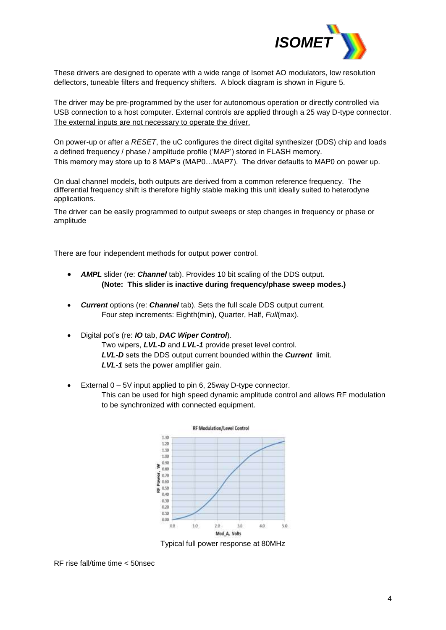

These drivers are designed to operate with a wide range of Isomet AO modulators, low resolution deflectors, tuneable filters and frequency shifters. A block diagram is shown in Figure 5.

The driver may be pre-programmed by the user for autonomous operation or directly controlled via USB connection to a host computer. External controls are applied through a 25 way D-type connector. The external inputs are not necessary to operate the driver.

On power-up or after a *RESET*, the uC configures the direct digital synthesizer (DDS) chip and loads a defined frequency / phase / amplitude profile ('MAP') stored in FLASH memory. This memory may store up to 8 MAP's (MAP0…MAP7). The driver defaults to MAP0 on power up.

On dual channel models, both outputs are derived from a common reference frequency. The differential frequency shift is therefore highly stable making this unit ideally suited to heterodyne applications.

The driver can be easily programmed to output sweeps or step changes in frequency or phase or amplitude

There are four independent methods for output power control.

- *AMPL* slider (re: *Channel* tab). Provides 10 bit scaling of the DDS output. **(Note: This slider is inactive during frequency/phase sweep modes.)**
- *Current* options (re: *Channel* tab). Sets the full scale DDS output current. Four step increments: Eighth(min), Quarter, Half, *Full*(max).
- Digital pot's (re: *IO* tab, *DAC Wiper Control*). Two wipers, *LVL-D* and *LVL-1* provide preset level control. *LVL-D* sets the DDS output current bounded within the *Current* limit. *LVL-1* sets the power amplifier gain.
- External 0 5V input applied to pin 6, 25way D-type connector. This can be used for high speed dynamic amplitude control and allows RF modulation to be synchronized with connected equipment.



Typical full power response at 80MHz

RF rise fall/time time < 50nsec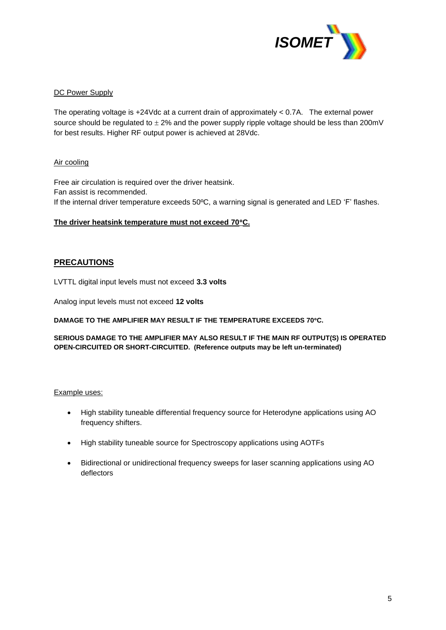

#### DC Power Supply

The operating voltage is +24Vdc at a current drain of approximately < 0.7A. The external power source should be regulated to  $\pm 2\%$  and the power supply ripple voltage should be less than 200mV for best results. Higher RF output power is achieved at 28Vdc.

## Air cooling

Free air circulation is required over the driver heatsink. Fan assist is recommended. If the internal driver temperature exceeds 50ºC, a warning signal is generated and LED 'F' flashes.

#### **The driver heatsink temperature must not exceed 70C.**

## **PRECAUTIONS**

LVTTL digital input levels must not exceed **3.3 volts** 

Analog input levels must not exceed **12 volts**

**DAMAGE TO THE AMPLIFIER MAY RESULT IF THE TEMPERATURE EXCEEDS 70C.** 

**SERIOUS DAMAGE TO THE AMPLIFIER MAY ALSO RESULT IF THE MAIN RF OUTPUT(S) IS OPERATED OPEN-CIRCUITED OR SHORT-CIRCUITED. (Reference outputs may be left un-terminated)** 

#### Example uses:

- High stability tuneable differential frequency source for Heterodyne applications using AO frequency shifters.
- High stability tuneable source for Spectroscopy applications using AOTFs
- Bidirectional or unidirectional frequency sweeps for laser scanning applications using AO deflectors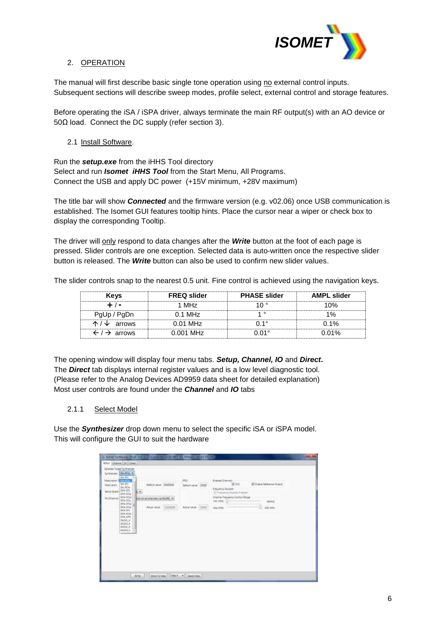

## 2. OPERATION

The manual will first describe basic single tone operation using no external control inputs. Subsequent sections will describe sweep modes, profile select, external control and storage features.

Before operating the iSA / iSPA driver, always terminate the main RF output(s) with an AO device or 50Ω load. Connect the DC supply (refer section 3).

2.1 Install Software.

Run the *setup.exe* from the iHHS Tool directory Select and run *Isomet iHHS Tool* from the Start Menu, All Programs. Connect the USB and apply DC power (+15V minimum, +28V maximum)

The title bar will show *Connected* and the firmware version (e.g. v02.06) once USB communication is established. The Isomet GUI features tooltip hints. Place the cursor near a wiper or check box to display the corresponding Tooltip.

The driver will only respond to data changes after the *Write* button at the foot of each page is pressed. Slider controls are one exception. Selected data is auto-written once the respective slider button is released. The *Write* button can also be used to confirm new slider values.

The slider controls snap to the nearest 0.5 unit. Fine control is achieved using the navigation keys.

| <b>Kevs</b>                         | <b>FREQ slider</b> | <b>PHASE slider</b> | <b>AMPL slider</b> |
|-------------------------------------|--------------------|---------------------|--------------------|
|                                     | 1 MHz              |                     | በ%                 |
| PgUp / PgDn                         | $0.1$ MHz          |                     |                    |
| $\uparrow$ / $\downarrow$ arrows    | $0.01$ MHz         | ገ 1°                | በ 1%               |
| $\leftarrow$ / $\rightarrow$ arrows | $0.001$ MHz        |                     | በ በ1%              |

The opening window will display four menu tabs. *Setup, Channel, IO* and *Direct***.** The *Direct* tab displays internal register values and is a low level diagnostic tool. (Please refer to the Analog Devices AD9959 data sheet for detailed explanation) Most user controls are found under the *Channel* and *IO* tabs

#### 2.1.1 Select Model

Use the *Synthesizer* drop down menu to select the specific iSA or iSPA model. This will configure the GUI to suit the hardware

| hone lights at Dair Tai (22) (Covenant EUVELIA Newsmann (22)<br>fever Channel 10 Direct<br>Selected Target Synthesize:<br><b>BEIFIN +</b><br><b>Turistanzar</b><br><b>GAO'L</b><br><b>Vinduishon T</b><br><b>SAUDI</b><br><b>SA-91 .:</b><br>Debut your. D00000<br>Marilevel:<br>BA-352e<br>unibecos<br>SAX-5/L<br><b>Ramp Sewitt</b><br>٠<br>SPA SFLL<br>SAK-916<br><b>RICUIPA</b><br><b>MARINE COMPART FOR READER</b><br>BRAGEL:<br>SPA-5156<br>SPA-371e<br><b>John Hotel</b><br>868-972<br>SPA-5724<br>SFA, MN<br>54340.4<br>14045.4<br><b>BAJIC 4</b><br><b>BAZIN A</b><br><b>TRANSPORT</b> | <b><i>Endney Chemen</i></b><br><b>PRID</b><br>- Collido<br>With an International<br>Viou.<br>1.1<br>Detectional 2000<br><b>Neueras Buster</b><br>177 Welcome & Direction Program<br>Channel Presidents Control Range<br><b>Min Mires</b><br><b>JOURN</b><br><b>Website</b><br>13000<br>1000000<br>÷<br>Amatiskup.<br>AGE APPE<br>Map Mirry |
|-------------------------------------------------------------------------------------------------------------------------------------------------------------------------------------------------------------------------------------------------------------------------------------------------------------------------------------------------------------------------------------------------------------------------------------------------------------------------------------------------------------------------------------------------------------------------------------------------|--------------------------------------------------------------------------------------------------------------------------------------------------------------------------------------------------------------------------------------------------------------------------------------------------------------------------------------------|
| Mobile 1                                                                                                                                                                                                                                                                                                                                                                                                                                                                                                                                                                                        | Stew To Map 212 Miles St., w. 11 Sever Map                                                                                                                                                                                                                                                                                                 |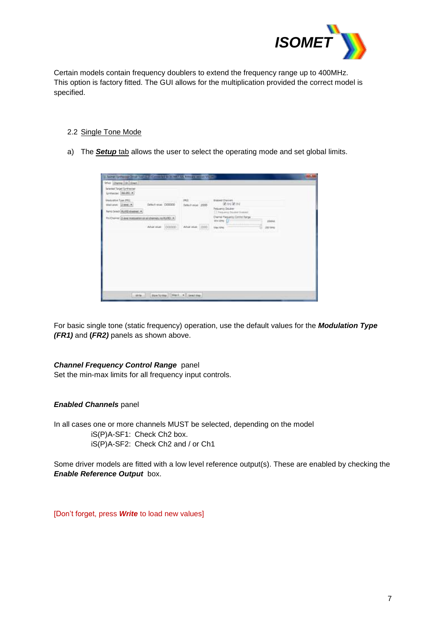

Certain models contain frequency doublers to extend the frequency range up to 400MHz. This option is factory fitted. The GUI allows for the multiplication provided the correct model is specified.

#### 2.2 Single Tone Mode

a) The *Setup* tab allows the user to select the operating mode and set global limits.

| Selected Terget Synthesizer<br>Grossow: MAREIA                                            |                                        |                                 | Website at U                                                                            |          |  |
|-------------------------------------------------------------------------------------------|----------------------------------------|---------------------------------|-----------------------------------------------------------------------------------------|----------|--|
| <b>Unstablish Type (PR)</b><br><b>Voltavi: Dies #1</b><br>Reno Select (AURE) diseased (+) | <b>CONTRACTOR</b><br>Defect wue D00000 | 理店<br>Selectivism: 2000<br>mara | <b>Eralimi Chavrell</b><br>第64第62<br>Felguency Doubles<br>[7] Frequency Doubled Systems |          |  |
| Fr:Owing: [Jusq restaurance al chemic, re-RUS] +                                          | Aharvian (DODDE)                       |                                 | <b>Owner Hasams Centre Range</b><br>Mix (494) 1277<br>$-1111111$                        | zinisi   |  |
|                                                                                           |                                        | Abarvive 2005                   | <b>Silen Tull-Ad.</b>                                                                   | 232, MHz |  |
|                                                                                           |                                        |                                 |                                                                                         |          |  |
|                                                                                           |                                        |                                 |                                                                                         |          |  |
|                                                                                           |                                        |                                 |                                                                                         |          |  |
|                                                                                           |                                        |                                 |                                                                                         |          |  |

For basic single tone (static frequency) operation, use the default values for the *Modulation Type (FR1)* and **(***FR2)* panels as shown above.

#### *Channel Frequency Control Range* panel

Set the min-max limits for all frequency input controls.

#### *Enabled Channels* panel

In all cases one or more channels MUST be selected, depending on the model iS(P)A-SF1: Check Ch2 box. iS(P)A-SF2: Check Ch2 and / or Ch1

Some driver models are fitted with a low level reference output(s). These are enabled by checking the *Enable Reference Output* box.

[Don't forget, press *Write* to load new values]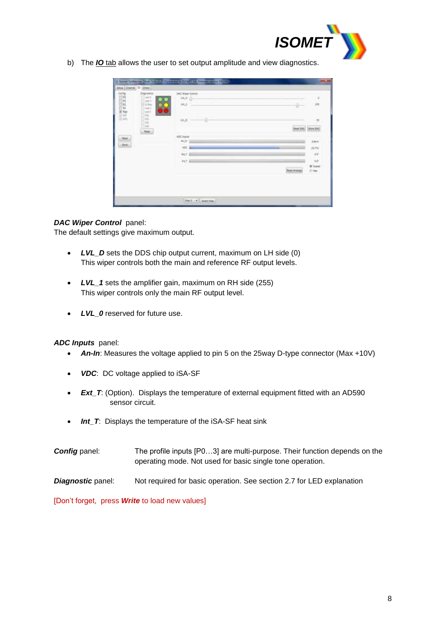

b) The *IO* tab allows the user to set output amplitude and view diagnostics.

| tanto         | Osputto<br>$1 - 44 = 4$               | DAC Was r Orema<br>Wua-11           |                    |                                  |
|---------------|---------------------------------------|-------------------------------------|--------------------|----------------------------------|
| <b>RASSES</b> | Tord S<br>El-blue<br>$1 - 1$<br>last1 | <b>WLS</b>                          | ÷                  | i.                               |
| 1200<br>e a   |                                       | õ<br>INGE.                          |                    | 洌                                |
|               | Aug.                                  | mо                                  | <b>Read TIAC</b>   | $+0.04$                          |
| teri          |                                       | AbCinouts<br>$\Delta\sigma_{\rm c}$ |                    | Abet                             |
| <b>Tare</b>   |                                       | <b>WE</b>                           |                    | 16.776                           |
|               |                                       | MA Bit                              |                    | ick-                             |
|               |                                       | FOT BH                              |                    | $\omega$                         |
|               |                                       |                                     | <b>Next Announ</b> | <b>IE Sypped</b><br><b>COMME</b> |
|               |                                       |                                     |                    |                                  |
|               |                                       |                                     |                    |                                  |

## *DAC Wiper Control* panel:

The default settings give maximum output.

- *LVL\_D* sets the DDS chip output current, maximum on LH side (0) This wiper controls both the main and reference RF output levels.
- LVL 1 sets the amplifier gain, maximum on RH side (255) This wiper controls only the main RF output level.
- *LVL\_0* reserved for future use.

#### *ADC Inputs* panel:

- An-In: Measures the voltage applied to pin 5 on the 25way D-type connector (Max +10V)
- *VDC*: DC voltage applied to iSA-SF
- **Ext\_T:** (Option). Displays the temperature of external equipment fitted with an AD590 sensor circuit.
- Int\_T: Displays the temperature of the iSA-SF heat sink
- **Config** panel: The profile inputs [P0...3] are multi-purpose. Their function depends on the operating mode. Not used for basic single tone operation.
- **Diagnostic** panel: Not required for basic operation. See section 2.7 for LED explanation

[Don't forget, press *Write* to load new values]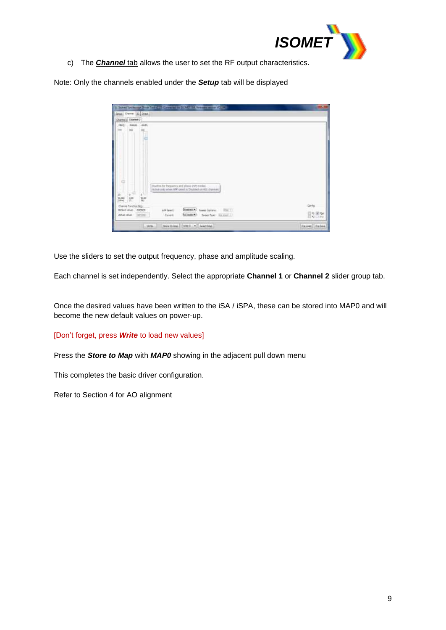

c) The *Channel* tab allows the user to set the RF output characteristics.

Note: Only the channels enabled under the *Setup* tab will be displayed

| Sena, Owner (D. Diect.)                                                                                                                                              |         |
|----------------------------------------------------------------------------------------------------------------------------------------------------------------------|---------|
| <b>Ournelly Eluvant 2</b>                                                                                                                                            |         |
| FRAGE<br>PHASE<br>: Alutto<br>16                                                                                                                                     |         |
|                                                                                                                                                                      |         |
| c                                                                                                                                                                    |         |
|                                                                                                                                                                      |         |
|                                                                                                                                                                      |         |
|                                                                                                                                                                      |         |
|                                                                                                                                                                      |         |
|                                                                                                                                                                      |         |
|                                                                                                                                                                      |         |
| ۵<br>Disclin for heaveny and please shift mades.                                                                                                                     |         |
| Active pret when ATP plant is Displand on ALL charmed.<br>$\mathbf{r}$<br>s                                                                                          |         |
| Low.<br>war.<br>m<br>P61                                                                                                                                             |         |
| ä<br>$\frac{10.033}{10.046}$<br>Chemel Function Reg.                                                                                                                 | Cirrico |
| Disaboot ><br>Drivil Mun.<br>000000<br>APP Lease:<br><b>Execut Contains:</b><br>1580.1<br>full scale (*)<br>Actual Value<br>Covert<br>1000198<br>Tend Toe: for met - | 日常同窓    |

Use the sliders to set the output frequency, phase and amplitude scaling.

Each channel is set independently. Select the appropriate **Channel 1** or **Channel 2** slider group tab.

Once the desired values have been written to the iSA / iSPA, these can be stored into MAP0 and will become the new default values on power-up.

#### [Don't forget, press *Write* to load new values]

Press the *Store to Map* with *MAP0* showing in the adjacent pull down menu

This completes the basic driver configuration.

Refer to Section 4 for AO alignment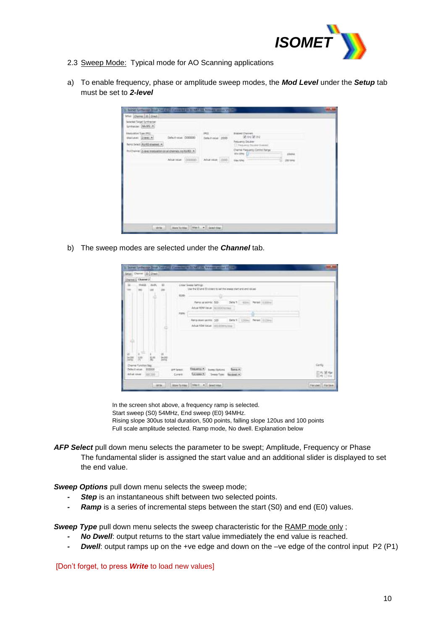

- 2.3 Sweep Mode: Typical mode for AO Scanning applications
- a) To enable frequency, phase or amplitude sweep modes, the *Mod Level* under the *Setup* tab must be set to *2-level*

| frier Channel 10 (2014)<br>Selected Terget Synthesizer<br>Grossm: MANE A |                                                   |                          |                                                                                                     |               |
|--------------------------------------------------------------------------|---------------------------------------------------|--------------------------|-----------------------------------------------------------------------------------------------------|---------------|
| <b>Medaleton Type PRG</b><br><b>Malteue: Gieselle</b>                    | Defectional DODDO                                 | 392<br>Selectivism: 2000 | <b>ANGELIA</b><br><b>Eralimi Chevreli</b><br>第64第62<br>Frequency Doublet                            |               |
| Reno Select: AURE diseased. +                                            | Fr:Ouive: [Lisa motivatorio al chemic, re RASI >] |                          | [7] Fedurated Doubled Statistics<br>Drame Hagaims Coroni Range<br>Mix 1441 Lit<br><b>Contractor</b> | zisisi        |
|                                                                          | tomm.<br>After value                              | Abanske 2000             | <b><i><u>blainball</u></i></b>                                                                      | s<br>232, MHz |
|                                                                          |                                                   |                          |                                                                                                     |               |
|                                                                          |                                                   |                          |                                                                                                     |               |

b) The sweep modes are selected under the *Channel* tab.

|                    | Chevro C Channel J |        |          |                                                                                                 |          |
|--------------------|--------------------|--------|----------|-------------------------------------------------------------------------------------------------|----------|
|                    | PHASE.             | AMR.   | ×<br>100 | <b>Uniar Sease tamogo</b><br>that the SO and ED ploters to sell the assess ment and end calces! |          |
|                    |                    |        |          | <b>Ryan</b>                                                                                     |          |
|                    |                    |        |          | Detail contributed allows:<br>Farra al sono: 500 -                                              |          |
|                    |                    |        |          | Asturitori Vever (all moduring)                                                                 |          |
|                    |                    |        |          | 31835                                                                                           |          |
|                    |                    |        |          | New Average 100 200 DRATE 1200m Pered E220mm                                                    |          |
|                    |                    |        |          | Arbit FDV VIGHT HOUSTEN-THE                                                                     |          |
|                    |                    |        |          |                                                                                                 |          |
| دك                 |                    |        |          |                                                                                                 |          |
|                    |                    |        |          |                                                                                                 |          |
|                    |                    |        |          |                                                                                                 |          |
|                    |                    |        |          |                                                                                                 |          |
|                    |                    |        | ă.       |                                                                                                 |          |
| 52<br>Delait value | Diemi führlich Rig | 500000 |          | THURSDAY, Sures Dators<br>firms.e.)<br><b>JPP Service:</b>                                      | Cirrillo |

In the screen shot above, a frequency ramp is selected. Start sweep (S0) 54MHz, End sweep (E0) 94MHz. Rising slope 300us total duration, 500 points, falling slope 120us and 100 points Full scale amplitude selected. Ramp mode, No dwell. Explanation below

- AFP Select pull down menu selects the parameter to be swept; Amplitude, Frequency or Phase The fundamental slider is assigned the start value and an additional slider is displayed to set the end value.
- *Sweep Options* pull down menu selects the sweep mode;
	- **Step** is an instantaneous shift between two selected points.
	- *- Ramp* is a series of incremental steps between the start (S0) and end (E0) values.

**Sweep Type** pull down menu selects the sweep characteristic for the RAMP mode only;

- *- No Dwell*: output returns to the start value immediately the end value is reached.
- *- Dwell*: output ramps up on the +ve edge and down on the –ve edge of the control input P2 (P1)

[Don't forget, to press *Write* to load new values]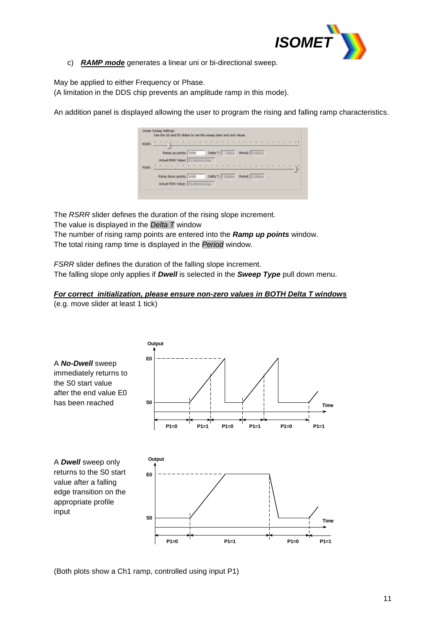

c) *RAMP mode* generates a linear uni or bi-directional sweep.

May be applied to either Frequency or Phase.

(A limitation in the DDS chip prevents an amplitude ramp in this mode).

An addition panel is displayed allowing the user to program the rising and falling ramp characteristics.



The *RSRR* slider defines the duration of the rising slope increment.

The value is displayed in the *Delta T* window

The number of rising ramp points are entered into the *Ramp up points* window. The total rising ramp time is displayed in the *Period* window.

*FSRR* slider defines the duration of the falling slope increment. The falling slope only applies if *Dwell* is selected in the *Sweep Type* pull down menu.

#### *For correct initialization, please ensure non-zero values in BOTH Delta T windows* (e.g. move slider at least 1 tick)



(Both plots show a Ch1 ramp, controlled using input P1)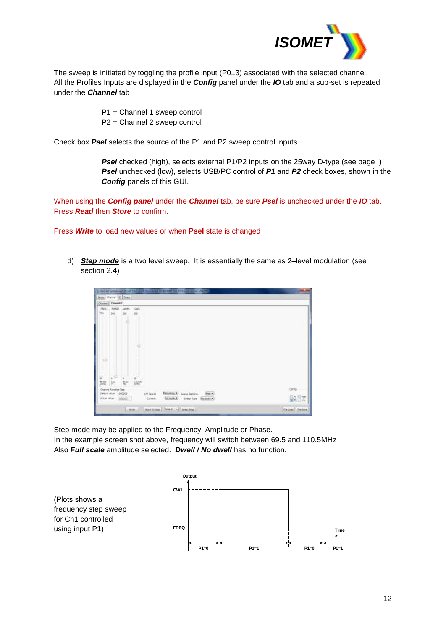

The sweep is initiated by toggling the profile input (P0..3) associated with the selected channel. All the Profiles Inputs are displayed in the *Config* panel under the *IO* tab and a sub-set is repeated under the *Channel* tab

> P1 = Channel 1 sweep control P2 = Channel 2 sweep control

Check box *Psel* selects the source of the P1 and P2 sweep control inputs.

**Psel** checked (high), selects external P1/P2 inputs on the 25way D-type (see page) *Psel* unchecked (low), selects USB/PC control of *P1* and *P2* check boxes, shown in the *Config* panels of this GUI.

When using the *Config panel* under the *Channel* tab, be sure *Psel* is unchecked under the *IO* tab. Press *Read* then *Store* to confirm.

d) *Step mode* is a two level sweep. It is essentially the same as 2–level modulation (see

Press *Write* to load new values or when **Psel** state is changed

section 2.4)

**Cirk Steel W Uali**a filiates + i. **KG** MAIN # | SANTING **Fatoe** Elle

Step mode may be applied to the Frequency, Amplitude or Phase. In the example screen shot above, frequency will switch between 69.5 and 110.5MHz Also *Full scale* amplitude selected. *Dwell / No dwell* has no function.

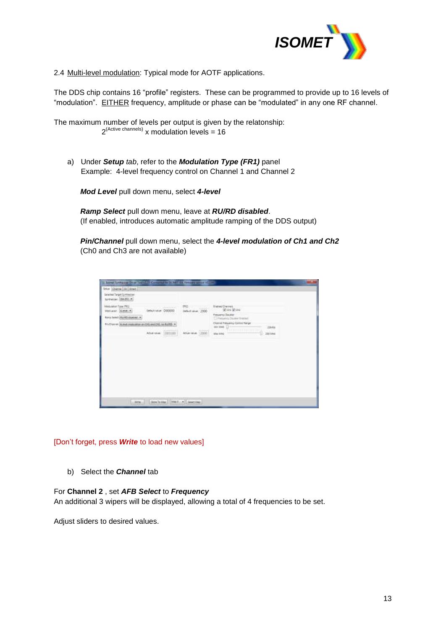

2.4 Multi-level modulation: Typical mode for AOTF applications.

The DDS chip contains 16 "profile" registers. These can be programmed to provide up to 16 levels of "modulation". EITHER frequency, amplitude or phase can be "modulated" in any one RF channel.

The maximum number of levels per output is given by the relatonship:  $2^{(Active channels)}$  x modulation levels = 16

a) Under *Setup tab*, refer to the *Modulation Type (FR1)* panel Example: 4-level frequency control on Channel 1 and Channel 2

*Mod Level* pull down menu, select *4-level*

*Ramp Select* pull down menu, leave at *RU/RD disabled*. (If enabled, introduces automatic amplitude ramping of the DDS output)

*Pin/Channel* pull down menu, select the *4-level modulation of Ch1 and Ch2* (Ch0 and Ch3 are not available)

| Selected Target Synthesizer<br>to resum (\$4.92.4)                     |                                                    |                                                          |                                                                           |  |
|------------------------------------------------------------------------|----------------------------------------------------|----------------------------------------------------------|---------------------------------------------------------------------------|--|
| Megulaton Tupe (FRI)<br>Mediavan dumente                               | CONTRACT IN THE AMERICAN REAL<br>behin usur D00000 | <b>NA</b> SHIP CONT<br>3Mill and SAS                     | <b>framed Chemes</b><br>Worldor                                           |  |
| <b>Ranis Send   Ranta disabed +</b>                                    | THE PERSON                                         | 92 W                                                     | <b><i><u>Pressures Davidad</u></i></b><br>1-1 Frequency Oncelor Strategic |  |
| FIVO anno 32 anni mai anno an Diú ana DIU na KLRS ><br><b>SOULISTS</b> | 12367241                                           |                                                          | Chamel Presiding Control Range<br><b>Sides</b><br>$14011042$ $-$          |  |
|                                                                        | Attacana E003100                                   | THE R. P. LEWIS CO., LANSING MICH.<br>Adult Hills, 13900 | TO A REAL PROPERTY.<br>teman<br>Mail field<br>200 Met                     |  |
|                                                                        |                                                    |                                                          |                                                                           |  |
|                                                                        |                                                    |                                                          |                                                                           |  |
|                                                                        |                                                    |                                                          |                                                                           |  |

[Don't forget, press *Write* to load new values]

b) Select the *Channel* tab

#### For **Channel 2** , set *AFB Select* to *Frequency*

An additional 3 wipers will be displayed, allowing a total of 4 frequencies to be set.

Adjust sliders to desired values.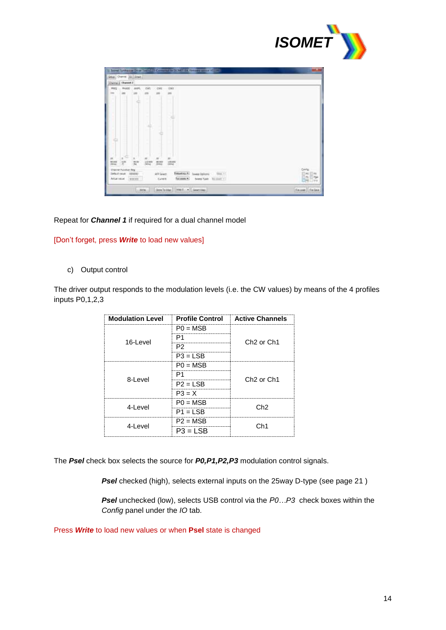

|                | Channel Dueset 2    |            |                        |                  |                                                          |                                                                     |
|----------------|---------------------|------------|------------------------|------------------|----------------------------------------------------------|---------------------------------------------------------------------|
| 1931           | PHATE               | JUAN.      | <b>CWI</b>             | <b>CWL</b>       | ini                                                      |                                                                     |
|                | 389                 | im         | 100                    | 280              | 100                                                      |                                                                     |
|                |                     |            | ٠                      |                  |                                                          |                                                                     |
|                |                     |            |                        |                  |                                                          |                                                                     |
|                |                     |            |                        |                  |                                                          |                                                                     |
|                |                     |            |                        |                  |                                                          |                                                                     |
|                |                     |            |                        |                  |                                                          |                                                                     |
|                |                     |            |                        |                  |                                                          |                                                                     |
|                |                     |            |                        |                  |                                                          |                                                                     |
|                |                     |            |                        |                  |                                                          |                                                                     |
|                |                     |            |                        |                  |                                                          |                                                                     |
| 55             | $\equiv$            | ×.         | 55 <sub>1</sub>        | $\equiv$         | 20                                                       |                                                                     |
| 10,122<br>3844 | 龗                   | 和国<br>in a | 112,800<br><b>STHE</b> | 38,922<br>pence. | 199.200<br><b>UMHLE</b>                                  |                                                                     |
|                | Cheme Furabun Reg   |            |                        |                  |                                                          | Conta                                                               |
|                | Select value 000000 |            |                        | in Select        | <b>SHA +1</b><br>Ematrix 47<br>Sweep Ophone:<br>faceses. | 田林<br>144<br>$\frac{\partial \mathbf{p}}{\partial \mathbf{u}}$<br>論 |
|                | Atlantical (1000)   |            |                        | <b>Caret</b>     | Sees Yor Notice 1                                        |                                                                     |

#### Repeat for *Channel 1* if required for a dual channel model

#### [Don't forget, press *Write* to load new values]

#### c) Output control

The driver output responds to the modulation levels (i.e. the CW values) by means of the 4 profiles inputs P0,1,2,3

| <b>Modulation Level</b> |            | <b>Example 2 Profile Control Active Channels</b> |  |
|-------------------------|------------|--------------------------------------------------|--|
| 16-Level                | $PO = MSB$ | Ch <sub>2</sub> or Ch <sub>1</sub>               |  |
|                         | P1         |                                                  |  |
|                         | P2         |                                                  |  |
|                         | $P3 = LSB$ |                                                  |  |
| 8-Level                 | $PO = MSB$ | Ch <sub>2</sub> or Ch <sub>1</sub>               |  |
|                         | P1         |                                                  |  |
|                         | $P2 = LSB$ |                                                  |  |
|                         | $P3 = X$   |                                                  |  |
| 4-Level                 | $PO = MSB$ | Ch2                                              |  |
|                         | $P1 = LSB$ |                                                  |  |
| 4-Level                 | $P2 = MSB$ | Ch1                                              |  |
|                         | $P3 = ISB$ |                                                  |  |

The *Psel* check box selects the source for *P0,P1,P2,P3* modulation control signals.

**Psel** checked (high), selects external inputs on the 25way D-type (see page 21)

*Psel* unchecked (low), selects USB control via the *P0…P3* check boxes within the *Config* panel under the *IO* tab.

Press *Write* to load new values or when **Psel** state is changed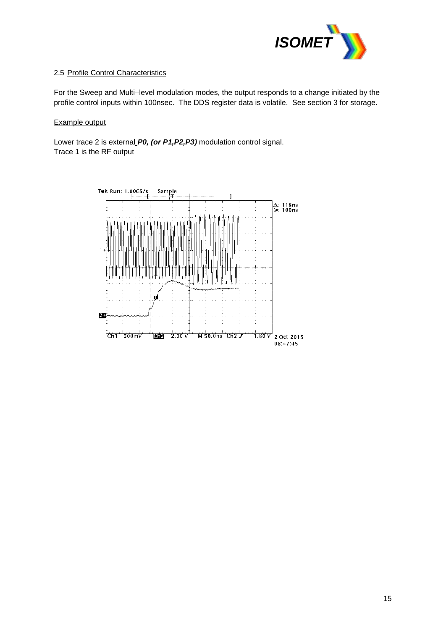

## 2.5 Profile Control Characteristics

For the Sweep and Multi–level modulation modes, the output responds to a change initiated by the profile control inputs within 100nsec. The DDS register data is volatile. See section 3 for storage.

#### Example output

Lower trace 2 is external *P0, (or P1,P2,P3)* modulation control signal. Trace 1 is the RF output

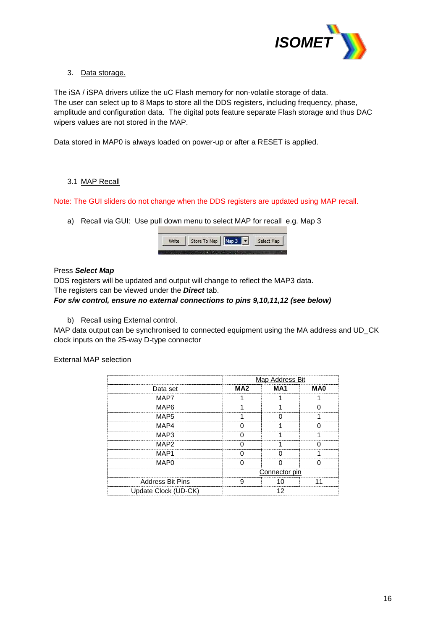

## 3. Data storage.

The iSA / iSPA drivers utilize the uC Flash memory for non-volatile storage of data. The user can select up to 8 Maps to store all the DDS registers, including frequency, phase, amplitude and configuration data. The digital pots feature separate Flash storage and thus DAC wipers values are not stored in the MAP.

Data stored in MAP0 is always loaded on power-up or after a RESET is applied.

## 3.1 MAP Recall

Note: The GUI sliders do not change when the DDS registers are updated using MAP recall.

a) Recall via GUI: Use pull down menu to select MAP for recall e.g. Map 3



## Press *Select Map*

DDS registers will be updated and output will change to reflect the MAP3 data.

The registers can be viewed under the *Direct* tab.

### *For s/w control, ensure no external connections to pins 9,10,11,12 (see below)*

b) Recall using External control.

MAP data output can be synchronised to connected equipment using the MA address and UD\_CK clock inputs on the 25-way D-type connector

#### External MAP selection

|                         |     | Map Address Bit |  |  |
|-------------------------|-----|-----------------|--|--|
| Data set                | MA2 | м д 1           |  |  |
| MAP7                    |     |                 |  |  |
| MAP6                    |     |                 |  |  |
| MAP5                    |     |                 |  |  |
| MAP4                    |     |                 |  |  |
| MAP3                    |     |                 |  |  |
| MAP <sub>2</sub>        |     |                 |  |  |
| MAP1                    |     |                 |  |  |
| MAPO                    |     |                 |  |  |
|                         |     | Connector pin   |  |  |
| <b>Address Bit Pins</b> |     |                 |  |  |
| Update Clock (UD-CK)    |     |                 |  |  |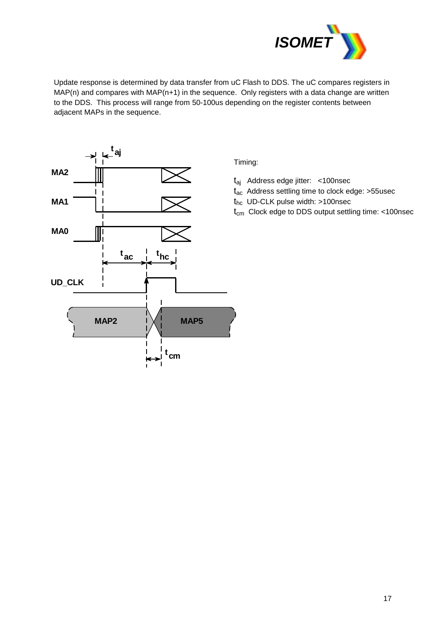

Update response is determined by data transfer from uC Flash to DDS. The uC compares registers in MAP(n) and compares with MAP(n+1) in the sequence. Only registers with a data change are written to the DDS. This process will range from 50-100us depending on the register contents between adjacent MAPs in the sequence.



Timing:

- taj Address edge jitter: <100nsec
- $t_{ac}$  Address settling time to clock edge: >55usec
- thc UD-CLK pulse width: >100nsec
- $t_{cm}$  Clock edge to DDS output settling time: <100nsec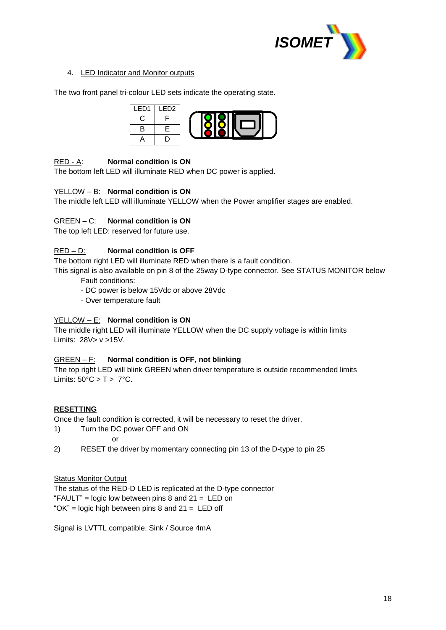

## 4. LED Indicator and Monitor outputs

The two front panel tri-colour LED sets indicate the operating state.



## RED - A: **Normal condition is ON**

The bottom left LED will illuminate RED when DC power is applied.

#### YELLOW – B: **Normal condition is ON**

The middle left LED will illuminate YELLOW when the Power amplifier stages are enabled.

#### GREEN – C: **Normal condition is ON**

The top left LED: reserved for future use.

## RED – D: **Normal condition is OFF**

The bottom right LED will illuminate RED when there is a fault condition.

This signal is also available on pin 8 of the 25way D-type connector. See STATUS MONITOR below Fault conditions:

- DC power is below 15Vdc or above 28Vdc
- Over temperature fault

#### YELLOW – E: **Normal condition is ON**

The middle right LED will illuminate YELLOW when the DC supply voltage is within limits Limits: 28V> v >15V.

#### GREEN – F: **Normal condition is OFF, not blinking**

The top right LED will blink GREEN when driver temperature is outside recommended limits Limits:  $50^{\circ}$ C > T >  $7^{\circ}$ C.

#### **RESETTING**

Once the fault condition is corrected, it will be necessary to reset the driver.

1) Turn the DC power OFF and ON

or

2) RESET the driver by momentary connecting pin 13 of the D-type to pin 25

#### **Status Monitor Output**

The status of the RED-D LED is replicated at the D-type connector "FAULT" = logic low between pins  $8$  and  $21 =$  LED on " $OK$ " = logic high between pins 8 and  $21 = LED$  off

Signal is LVTTL compatible. Sink / Source 4mA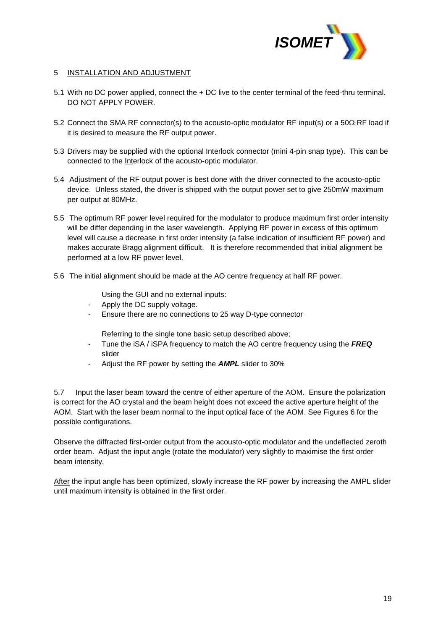

#### 5 INSTALLATION AND ADJUSTMENT

- 5.1 With no DC power applied, connect the + DC live to the center terminal of the feed-thru terminal. DO NOT APPLY POWER.
- 5.2 Connect the SMA RF connector(s) to the acousto-optic modulator RF input(s) or a 50 $\Omega$  RF load if it is desired to measure the RF output power.
- 5.3 Drivers may be supplied with the optional Interlock connector (mini 4-pin snap type). This can be connected to the Interlock of the acousto-optic modulator.
- 5.4 Adjustment of the RF output power is best done with the driver connected to the acousto-optic device. Unless stated, the driver is shipped with the output power set to give 250mW maximum per output at 80MHz.
- 5.5 The optimum RF power level required for the modulator to produce maximum first order intensity will be differ depending in the laser wavelength. Applying RF power in excess of this optimum level will cause a decrease in first order intensity (a false indication of insufficient RF power) and makes accurate Bragg alignment difficult. It is therefore recommended that initial alignment be performed at a low RF power level.
- 5.6 The initial alignment should be made at the AO centre frequency at half RF power.
	- Using the GUI and no external inputs:
	- Apply the DC supply voltage.
	- Ensure there are no connections to 25 way D-type connector
		- Referring to the single tone basic setup described above;
	- Tune the iSA / iSPA frequency to match the AO centre frequency using the *FREQ* slider
	- Adjust the RF power by setting the *AMPL* slider to 30%

5.7 Input the laser beam toward the centre of either aperture of the AOM. Ensure the polarization is correct for the AO crystal and the beam height does not exceed the active aperture height of the AOM. Start with the laser beam normal to the input optical face of the AOM. See Figures 6 for the possible configurations.

Observe the diffracted first-order output from the acousto-optic modulator and the undeflected zeroth order beam. Adjust the input angle (rotate the modulator) very slightly to maximise the first order beam intensity.

After the input angle has been optimized, slowly increase the RF power by increasing the AMPL slider until maximum intensity is obtained in the first order.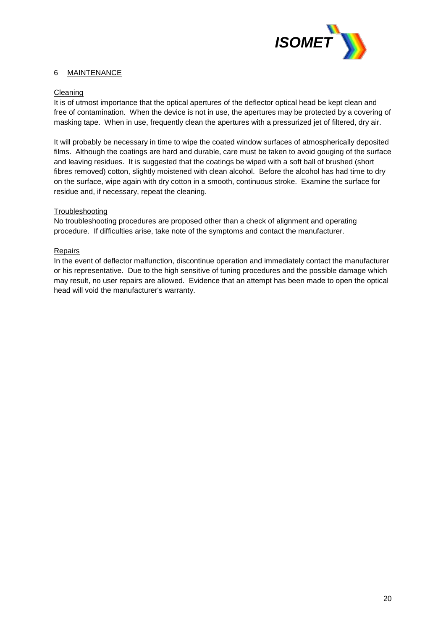

## 6 MAINTENANCE

#### Cleaning

It is of utmost importance that the optical apertures of the deflector optical head be kept clean and free of contamination. When the device is not in use, the apertures may be protected by a covering of masking tape. When in use, frequently clean the apertures with a pressurized jet of filtered, dry air.

It will probably be necessary in time to wipe the coated window surfaces of atmospherically deposited films. Although the coatings are hard and durable, care must be taken to avoid gouging of the surface and leaving residues. It is suggested that the coatings be wiped with a soft ball of brushed (short fibres removed) cotton, slightly moistened with clean alcohol. Before the alcohol has had time to dry on the surface, wipe again with dry cotton in a smooth, continuous stroke. Examine the surface for residue and, if necessary, repeat the cleaning.

#### **Troubleshooting**

No troubleshooting procedures are proposed other than a check of alignment and operating procedure. If difficulties arise, take note of the symptoms and contact the manufacturer.

#### Repairs

In the event of deflector malfunction, discontinue operation and immediately contact the manufacturer or his representative. Due to the high sensitive of tuning procedures and the possible damage which may result, no user repairs are allowed. Evidence that an attempt has been made to open the optical head will void the manufacturer's warranty.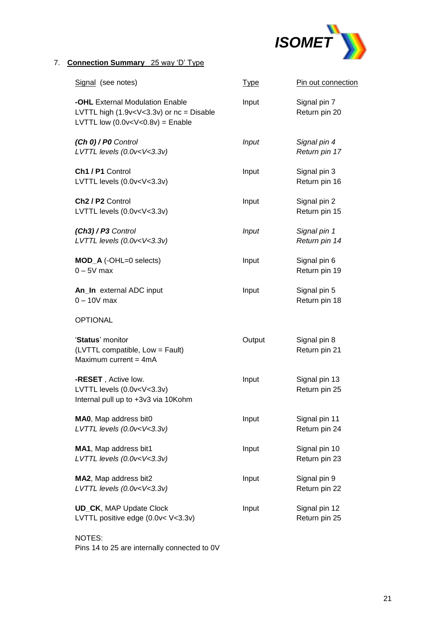

## 7. **Connection Summary** 25 way 'D' Type

| Signal (see notes)                                                                                                                              | <u>Type</u>  | Pin out connection             |
|-------------------------------------------------------------------------------------------------------------------------------------------------|--------------|--------------------------------|
| -OHL External Modulation Enable<br>LVTTL high $(1.9v or nc = DisableLVTTL low (0.0v = Enable$                                                   | Input        | Signal pin 7<br>Return pin 20  |
| (Ch 0) / P0 Control<br>LVTTL levels (0.0v <v<3.3v)< td=""><td><b>Input</b></td><td>Signal pin 4<br/>Return pin 17</td></v<3.3v)<>               | <b>Input</b> | Signal pin 4<br>Return pin 17  |
| Ch1 / P1 Control<br>LVTTL levels (0.0v <v<3.3v)< td=""><td>Input</td><td>Signal pin 3<br/>Return pin 16</td></v<3.3v)<>                         | Input        | Signal pin 3<br>Return pin 16  |
| Ch <sub>2</sub> / P <sub>2</sub> Control<br>LVTTL levels (0.0v <v<3.3v)< td=""><td>Input</td><td>Signal pin 2<br/>Return pin 15</td></v<3.3v)<> | Input        | Signal pin 2<br>Return pin 15  |
| $(Ch3)/P3$ Control<br>LVTTL levels (0.0v <v<3.3v)< td=""><td><b>Input</b></td><td>Signal pin 1<br/>Return pin 14</td></v<3.3v)<>                | <b>Input</b> | Signal pin 1<br>Return pin 14  |
| MOD_A (-OHL=0 selects)<br>$0 - 5V$ max                                                                                                          | Input        | Signal pin 6<br>Return pin 19  |
| An_In external ADC input<br>$0 - 10V$ max                                                                                                       | Input        | Signal pin 5<br>Return pin 18  |
| <b>OPTIONAL</b>                                                                                                                                 |              |                                |
| 'Status' monitor<br>(LVTTL compatible, Low = Fault)<br>Maximum current = $4mA$                                                                  | Output       | Signal pin 8<br>Return pin 21  |
| -RESET, Active low.<br>LVTTL levels (0.0v <v<3.3v)<br>Internal pull up to +3v3 via 10Kohm</v<3.3v)<br>                                          | Input        | Signal pin 13<br>Return pin 25 |
| MAO, Map address bit0<br>LVTTL levels (0.0v <v<3.3v)< td=""><td>Input</td><td>Signal pin 11<br/>Return pin 24</td></v<3.3v)<>                   | Input        | Signal pin 11<br>Return pin 24 |
| MA1, Map address bit1<br>LVTTL levels (0.0v <v<3.3v)< td=""><td>Input</td><td>Signal pin 10<br/>Return pin 23</td></v<3.3v)<>                   | Input        | Signal pin 10<br>Return pin 23 |
| MA2, Map address bit2<br>LVTTL levels (0.0v <v<3.3v)< td=""><td>Input</td><td>Signal pin 9<br/>Return pin 22</td></v<3.3v)<>                    | Input        | Signal pin 9<br>Return pin 22  |
| <b>UD_CK, MAP Update Clock</b><br>LVTTL positive edge (0.0v< V<3.3v)                                                                            | Input        | Signal pin 12<br>Return pin 25 |
|                                                                                                                                                 |              |                                |

NOTES: Pins 14 to 25 are internally connected to 0V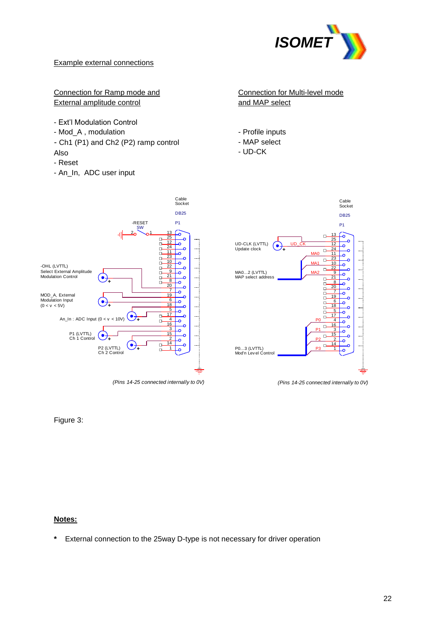

### Example external connections

## Connection for Ramp mode and External amplitude control

- Ext'l Modulation Control
- Mod\_A , modulation
- *-* Ch1 (P1) and Ch2 (P2) ramp control Also
- Reset
- An\_In, ADC user input



- Profile inputs
- MAP select
- UD-CK



*(Pins 14-25 connected internally to 0V)*

Figure 3:

## **Notes:**

**\*** External connection to the 25way D-type is not necessary for driver operation



*(Pins 14-25 connected internally to 0V)*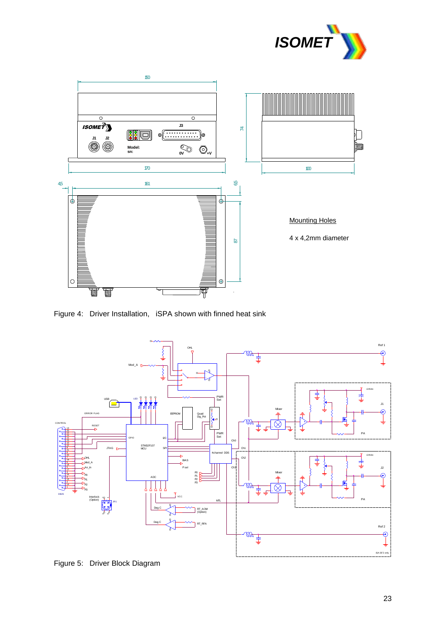



Figure 4: Driver Installation, iSPA shown with finned heat sink



Figure 5: Driver Block Diagram